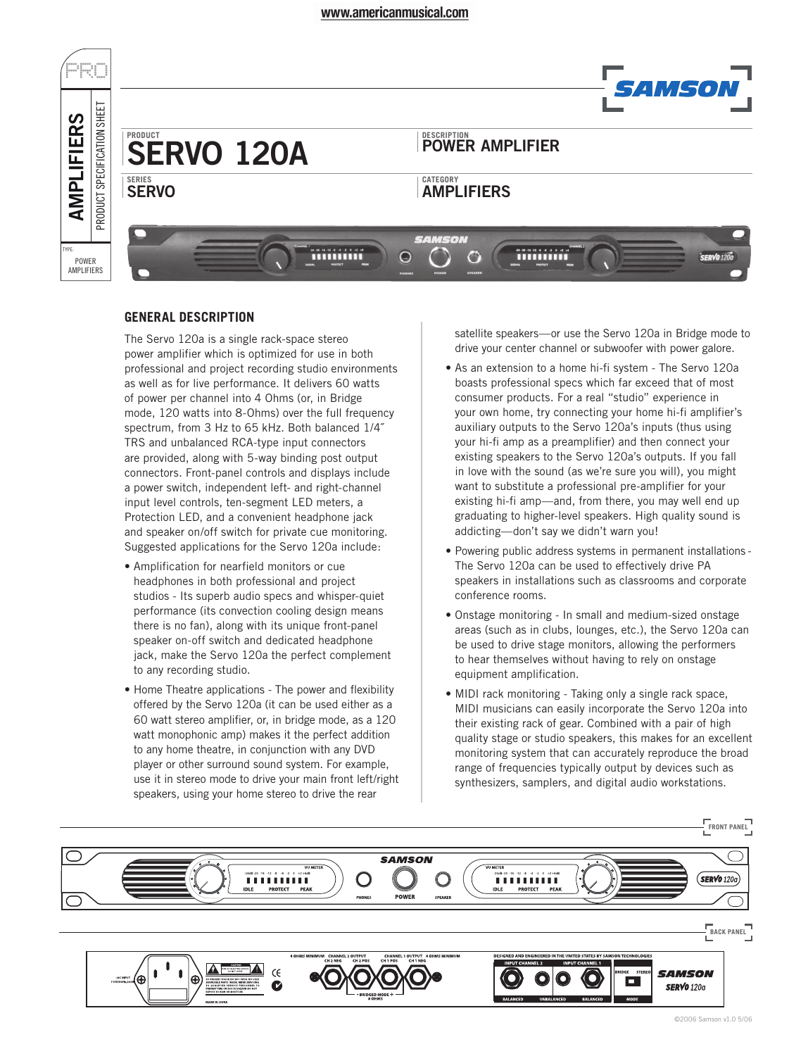#### www.americanmusical.com



## **GENERAL DESCRIPTION**

The Servo 120a is a single rack-space stereo power amplifier which is optimized for use in both professional and project recording studio environments as well as for live performance. It delivers 60 watts of power per channel into 4 Ohms (or, in Bridge mode, 120 watts into 8-Ohms) over the full frequency spectrum, from 3 Hz to 65 kHz. Both balanced 1/4˝ TRS and unbalanced RCA-type input connectors are provided, along with 5-way binding post output connectors. Front-panel controls and displays include a power switch, independent left- and right-channel input level controls, ten-segment LED meters, a Protection LED, and a convenient headphone jack and speaker on/off switch for private cue monitoring. Suggested applications for the Servo 120a include:

- Amplification for nearfield monitors or cue headphones in both professional and project studios - Its superb audio specs and whisper-quiet performance (its convection cooling design means there is no fan), along with its unique front-panel speaker on-off switch and dedicated headphone jack, make the Servo 120a the perfect complement to any recording studio.
- Home Theatre applications The power and flexibility offered by the Servo 120a (it can be used either as a 60 watt stereo amplifier, or, in bridge mode, as a 120 watt monophonic amp) makes it the perfect addition to any home theatre, in conjunction with any DVD player or other surround sound system. For example, use it in stereo mode to drive your main front left/right speakers, using your home stereo to drive the rear

satellite speakers—or use the Servo 120a in Bridge mode to drive your center channel or subwoofer with power galore.

- As an extension to a home hi-fi system The Servo 120a boasts professional specs which far exceed that of most consumer products. For a real "studio" experience in your own home, try connecting your home hi-fi amplifier's auxiliary outputs to the Servo 120a's inputs (thus using your hi-fi amp as a preamplifier) and then connect your existing speakers to the Servo 120a's outputs. If you fall in love with the sound (as we're sure you will), you might want to substitute a professional pre-amplifier for your existing hi-fi amp—and, from there, you may well end up graduating to higher-level speakers. High quality sound is addicting—don't say we didn't warn you!
- Powering public address systems in permanent installations The Servo 120a can be used to effectively drive PA speakers in installations such as classrooms and corporate conference rooms.
- Onstage monitoring In small and medium-sized onstage areas (such as in clubs, lounges, etc.), the Servo 120a can be used to drive stage monitors, allowing the performers to hear themselves without having to rely on onstage equipment amplification.
- MIDI rack monitoring Taking only a single rack space, MIDI musicians can easily incorporate the Servo 120a into their existing rack of gear. Combined with a pair of high quality stage or studio speakers, this makes for an excellent monitoring system that can accurately reproduce the broad range of frequencies typically output by devices such as synthesizers, samplers, and digital audio workstations.